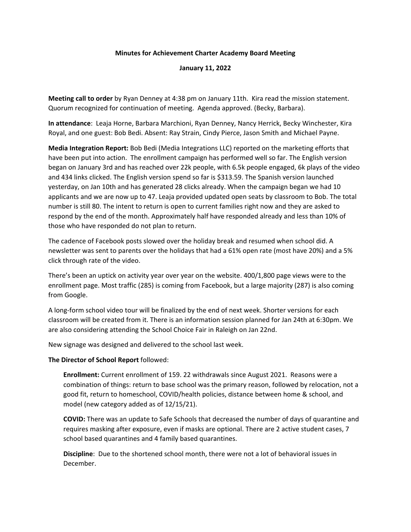## **Minutes for Achievement Charter Academy Board Meeting**

## **January 11, 2022**

**Meeting call to order** by Ryan Denney at 4:38 pm on January 11th. Kira read the mission statement. Quorum recognized for continuation of meeting. Agenda approved. (Becky, Barbara).

**In attendance**: Leaja Horne, Barbara Marchioni, Ryan Denney, Nancy Herrick, Becky Winchester, Kira Royal, and one guest: Bob Bedi. Absent: Ray Strain, Cindy Pierce, Jason Smith and Michael Payne.

**Media Integration Report:** Bob Bedi (Media Integrations LLC) reported on the marketing efforts that have been put into action. The enrollment campaign has performed well so far. The English version began on January 3rd and has reached over 22k people, with 6.5k people engaged, 6k plays of the video and 434 links clicked. The English version spend so far is \$313.59. The Spanish version launched yesterday, on Jan 10th and has generated 28 clicks already. When the campaign began we had 10 applicants and we are now up to 47. Leaja provided updated open seats by classroom to Bob. The total number is still 80. The intent to return is open to current families right now and they are asked to respond by the end of the month. Approximately half have responded already and less than 10% of those who have responded do not plan to return.

The cadence of Facebook posts slowed over the holiday break and resumed when school did. A newsletter was sent to parents over the holidays that had a 61% open rate (most have 20%) and a 5% click through rate of the video.

There's been an uptick on activity year over year on the website. 400/1,800 page views were to the enrollment page. Most traffic (285) is coming from Facebook, but a large majority (287) is also coming from Google.

A long-form school video tour will be finalized by the end of next week. Shorter versions for each classroom will be created from it. There is an information session planned for Jan 24th at 6:30pm. We are also considering attending the School Choice Fair in Raleigh on Jan 22nd.

New signage was designed and delivered to the school last week.

## **The Director of School Report** followed:

**Enrollment:** Current enrollment of 159. 22 withdrawals since August 2021. Reasons were a combination of things: return to base school was the primary reason, followed by relocation, not a good fit, return to homeschool, COVID/health policies, distance between home & school, and model (new category added as of 12/15/21).

**COVID:** There was an update to Safe Schools that decreased the number of days of quarantine and requires masking after exposure, even if masks are optional. There are 2 active student cases, 7 school based quarantines and 4 family based quarantines.

**Discipline**: Due to the shortened school month, there were not a lot of behavioral issues in December.